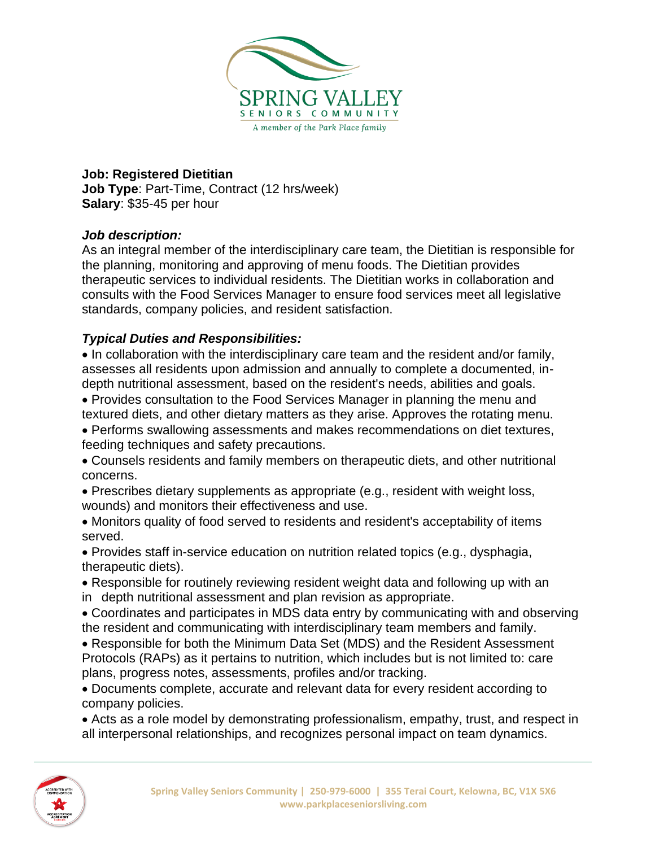

## **Job: Registered Dietitian**

**Job Type**: Part-Time, Contract (12 hrs/week) **Salary**: \$35-45 per hour

## *Job description:*

As an integral member of the interdisciplinary care team, the Dietitian is responsible for the planning, monitoring and approving of menu foods. The Dietitian provides therapeutic services to individual residents. The Dietitian works in collaboration and consults with the Food Services Manager to ensure food services meet all legislative standards, company policies, and resident satisfaction.

## *Typical Duties and Responsibilities:*

• In collaboration with the interdisciplinary care team and the resident and/or family, assesses all residents upon admission and annually to complete a documented, indepth nutritional assessment, based on the resident's needs, abilities and goals.

• Provides consultation to the Food Services Manager in planning the menu and textured diets, and other dietary matters as they arise. Approves the rotating menu.

• Performs swallowing assessments and makes recommendations on diet textures, feeding techniques and safety precautions.

• Counsels residents and family members on therapeutic diets, and other nutritional concerns.

• Prescribes dietary supplements as appropriate (e.g., resident with weight loss, wounds) and monitors their effectiveness and use.

• Monitors quality of food served to residents and resident's acceptability of items served.

• Provides staff in-service education on nutrition related topics (e.g., dysphagia, therapeutic diets).

• Responsible for routinely reviewing resident weight data and following up with an in depth nutritional assessment and plan revision as appropriate.

• Coordinates and participates in MDS data entry by communicating with and observing the resident and communicating with interdisciplinary team members and family.

• Responsible for both the Minimum Data Set (MDS) and the Resident Assessment Protocols (RAPs) as it pertains to nutrition, which includes but is not limited to: care plans, progress notes, assessments, profiles and/or tracking.

• Documents complete, accurate and relevant data for every resident according to company policies.

• Acts as a role model by demonstrating professionalism, empathy, trust, and respect in all interpersonal relationships, and recognizes personal impact on team dynamics.